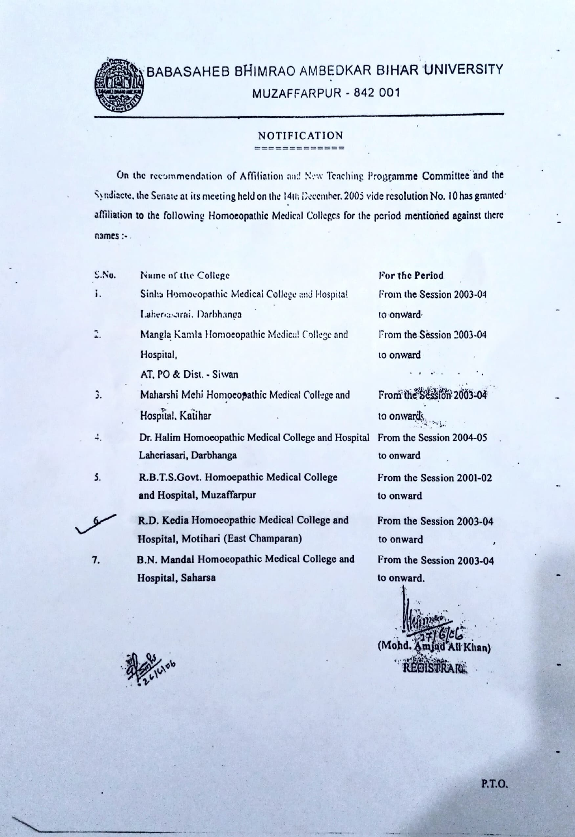

## BABASAHEB BHIMRAO AMBEDKAR BIHAR UNIVERSITY MUZAFFARPUR - 842 001

## NOTIFICATION ===

On the recommendation of Affiliation and New Teaching Programme Committee and the Syndiacte, the Senate at its meeting held on the 14th December. 2005 vide resolution No. 10 has grantedaffiliation to the following Homoeopathic Medical Colleges for the period mentioned against there names

| S.N. | Name of the College                                 | For the Period           |
|------|-----------------------------------------------------|--------------------------|
| i.   | Sinha Homocopathic Medical College and Hospital     | From the Session 2003-04 |
|      | Laherosarai, Darbhanga                              | to onward                |
|      | Mangla Kamla Homoeopathic Medical College and       | From the Session 2003-04 |
|      | Hospital,                                           | to onward                |
|      | AT, PO & Dist. - Siwan                              |                          |
| 3.   | Maharshi Mehi Homoeopathic Medical College and      | From the Session 2003-04 |
|      | Hospital, Katihar                                   | to onwards               |
| 4.   | Dr. Halim Homoeopathic Medical College and Hospital | From the Session 2004-05 |
|      | Laheriasari, Darbhanga                              | to onward                |
| 5.   | R.B.T.S.Govt. Homoepathic Medical College           | From the Session 2001-02 |
|      | and Hospital, Muzaffarpur                           | to onward                |
|      | R.D. Kedia Homoeopathic Medical College and         | From the Session 2003-04 |
|      | Hospital, Motihari (East Champaran)                 | to onward                |
| 7.   | B.N. Mandal Homoeopathic Medical College and        | From the Session 2003-04 |
|      | Hospital, Saharsa                                   | to onward.               |
|      |                                                     |                          |

REGISTRE

(Mohd. Amjad All Khan)